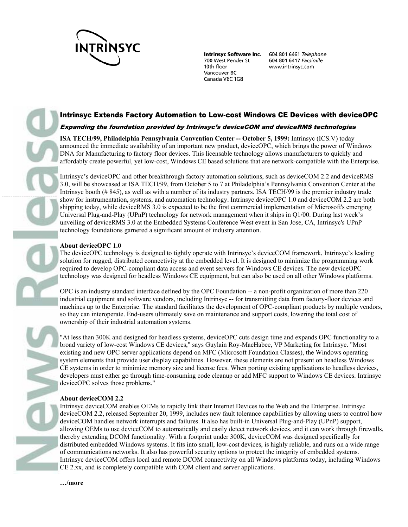

**Intrinsyc Software Inc.** 700 West Pender St 10th floor Vancouver BC Canada V6C 1G8

604 801 6461 Telephone 604 801 6417 Facsimile www.intrinsyc.com

# Intrinsyc Extends Factory Automation to Low-cost Windows CE Devices with deviceOPC

## Expanding the foundation provided by Intrinsyc's deviceCOM and deviceRMS technologies

**ISA TECH/99, Philadelphia Pennsylvania Convention Center -- October 5, 1999:** Intrinsyc (ICS.V) today announced the immediate availability of an important new product, deviceOPC, which brings the power of Windows DNA for Manufacturing to factory floor devices. This licensable technology allows manufacturers to quickly and affordably create powerful, yet low-cost, Windows CE based solutions that are network-compatible with the Enterprise.

Intrinsyc's deviceOPC and other breakthrough factory automation solutions, such as deviceCOM 2.2 and deviceRMS 3.0, will be showcased at ISA TECH/99, from October 5 to 7 at Philadelphia's Pennsylvania Convention Center at the Intrinsyc booth (# 845), as well as with a number of its industry partners. ISA TECH/99 is the premier industry trade show for instrumentation, systems, and automation technology. Intrinsyc deviceOPC 1.0 and deviceCOM 2.2 are both shipping today, while deviceRMS 3.0 is expected to be the first commercial implementation of Microsoft's emerging Universal Plug-and-Play (UPnP) technology for network management when it ships in Q1/00. During last week's unveiling of deviceRMS 3.0 at the Embedded Systems Conference West event in San Jose, CA, Intrinsyc's UPnP technology foundations garnered a significant amount of industry attention.

## **About deviceOPC 1.0**

-------------------------

The deviceOPC technology is designed to tightly operate with Intrinsyc's deviceCOM framework, Intrinsyc's leading solution for rugged, distributed connectivity at the embedded level. It is designed to minimize the programming work required to develop OPC-compliant data access and event servers for Windows CE devices. The new deviceOPC technology was designed for headless Windows CE equipment, but can also be used on all other Windows platforms.

OPC is an industry standard interface defined by the OPC Foundation -- a non-profit organization of more than 220 industrial equipment and software vendors, including Intrinsyc -- for transmitting data from factory-floor devices and machines up to the Enterprise. The standard facilitates the development of OPC-compliant products by multiple vendors, so they can interoperate. End-users ultimately save on maintenance and support costs, lowering the total cost of ownership of their industrial automation systems.

"At less than 300K and designed for headless systems, deviceOPC cuts design time and expands OPC functionality to a broad variety of low-cost Windows CE devices," says Guylain Roy-MacHabee, VP Marketing for Intrinsyc. "Most existing and new OPC server applications depend on MFC (Microsoft Foundation Classes), the Windows operating system elements that provide user display capabilities. However, these elements are not present on headless Windows CE systems in order to minimize memory size and license fees. When porting existing applications to headless devices, developers must either go through time-consuming code cleanup or add MFC support to Windows CE devices. Intrinsyc deviceOPC solves those problems."

## **About deviceCOM 2.2**

Intrinsyc deviceCOM enables OEMs to rapidly link their Internet Devices to the Web and the Enterprise. Intrinsyc deviceCOM 2.2, released September 20, 1999, includes new fault tolerance capabilities by allowing users to control how deviceCOM handles network interrupts and failures. It also has built-in Universal Plug-and-Play (UPnP) support, allowing OEMs to use deviceCOM to automatically and easily detect network devices, and it can work through firewalls, thereby extending DCOM functionality. With a footprint under 300K, deviceCOM was designed specifically for distributed embedded Windows systems. It fits into small, low-cost devices, is highly reliable, and runs on a wide range of communications networks. It also has powerful security options to protect the integrity of embedded systems. Intrinsyc deviceCOM offers local and remote DCOM connectivity on all Windows platforms today, including Windows CE 2.xx, and is completely compatible with COM client and server applications.

**…/more**